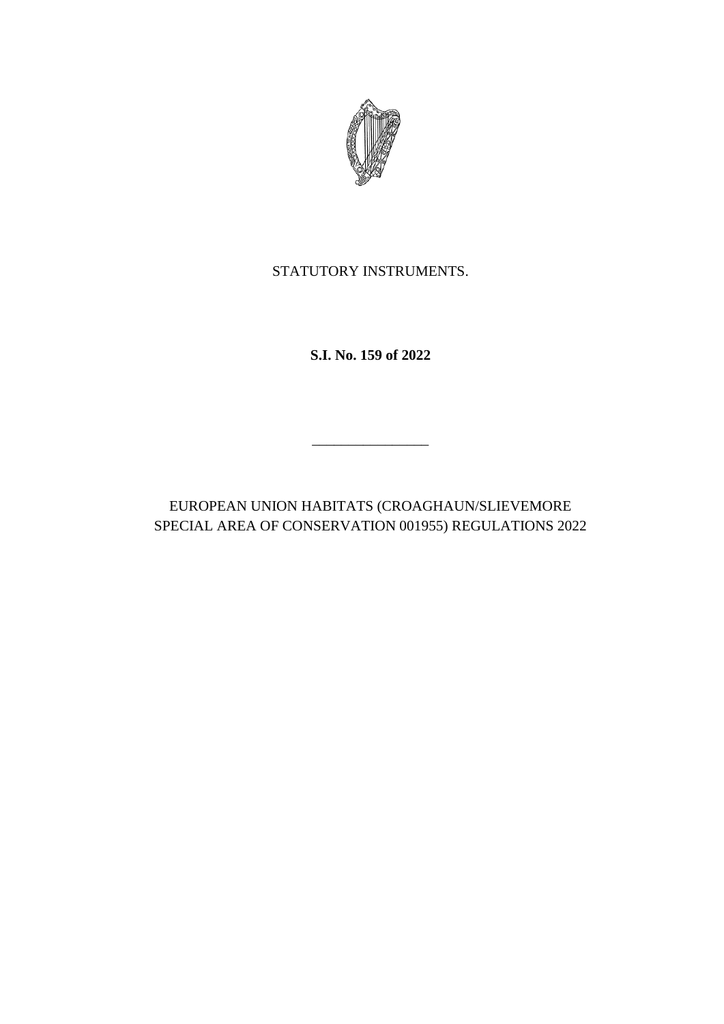

STATUTORY INSTRUMENTS.

**S.I. No. 159 of 2022**

EUROPEAN UNION HABITATS (CROAGHAUN/SLIEVEMORE SPECIAL AREA OF CONSERVATION 001955) REGULATIONS 2022

\_\_\_\_\_\_\_\_\_\_\_\_\_\_\_\_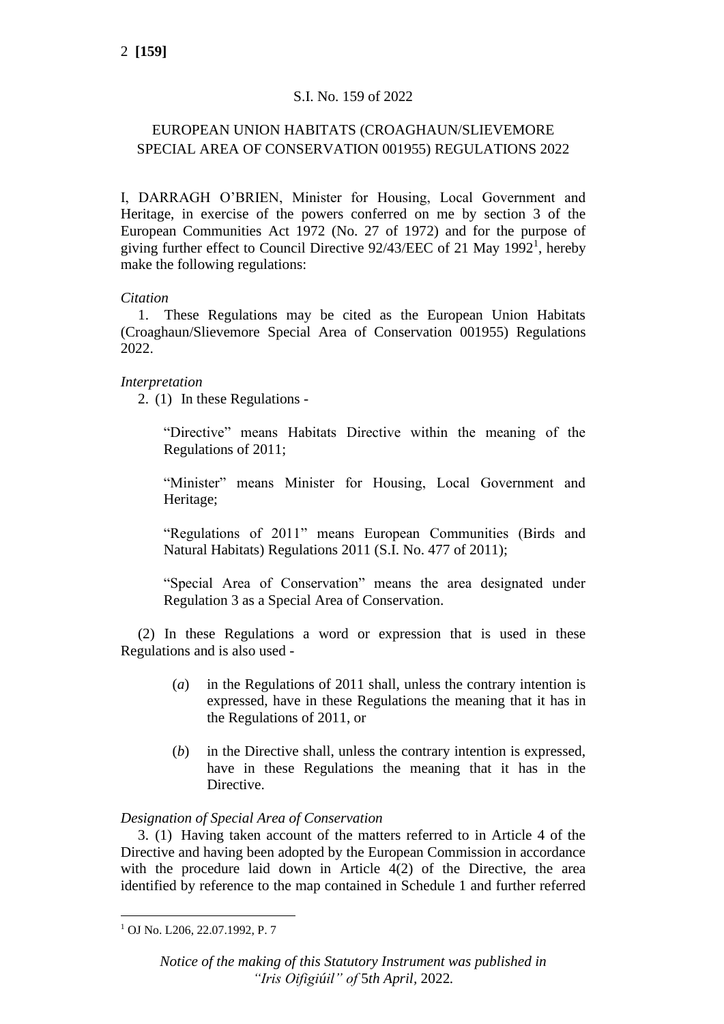# S.I. No. 159 of 2022

# EUROPEAN UNION HABITATS (CROAGHAUN/SLIEVEMORE SPECIAL AREA OF CONSERVATION 001955) REGULATIONS 2022

I, DARRAGH O'BRIEN, Minister for Housing, Local Government and Heritage, in exercise of the powers conferred on me by section 3 of the European Communities Act 1972 (No. 27 of 1972) and for the purpose of giving further effect to Council Directive 92/43/EEC of 21 May 1992<sup>1</sup>, hereby make the following regulations:

# *Citation*

1. These Regulations may be cited as the European Union Habitats (Croaghaun/Slievemore Special Area of Conservation 001955) Regulations 2022.

# *Interpretation*

2. (1) In these Regulations -

"Directive" means Habitats Directive within the meaning of the Regulations of 2011;

"Minister" means Minister for Housing, Local Government and Heritage;

"Regulations of 2011" means European Communities (Birds and Natural Habitats) Regulations 2011 (S.I. No. 477 of 2011);

"Special Area of Conservation" means the area designated under Regulation 3 as a Special Area of Conservation.

(2) In these Regulations a word or expression that is used in these Regulations and is also used -

- (*a*) in the Regulations of 2011 shall, unless the contrary intention is expressed, have in these Regulations the meaning that it has in the Regulations of 2011, or
- (*b*) in the Directive shall, unless the contrary intention is expressed, have in these Regulations the meaning that it has in the Directive.

## *Designation of Special Area of Conservation*

3. (1) Having taken account of the matters referred to in Article 4 of the Directive and having been adopted by the European Commission in accordance with the procedure laid down in Article 4(2) of the Directive, the area identified by reference to the map contained in Schedule 1 and further referred

<sup>1</sup> OJ No. L206, 22.07.1992, P. 7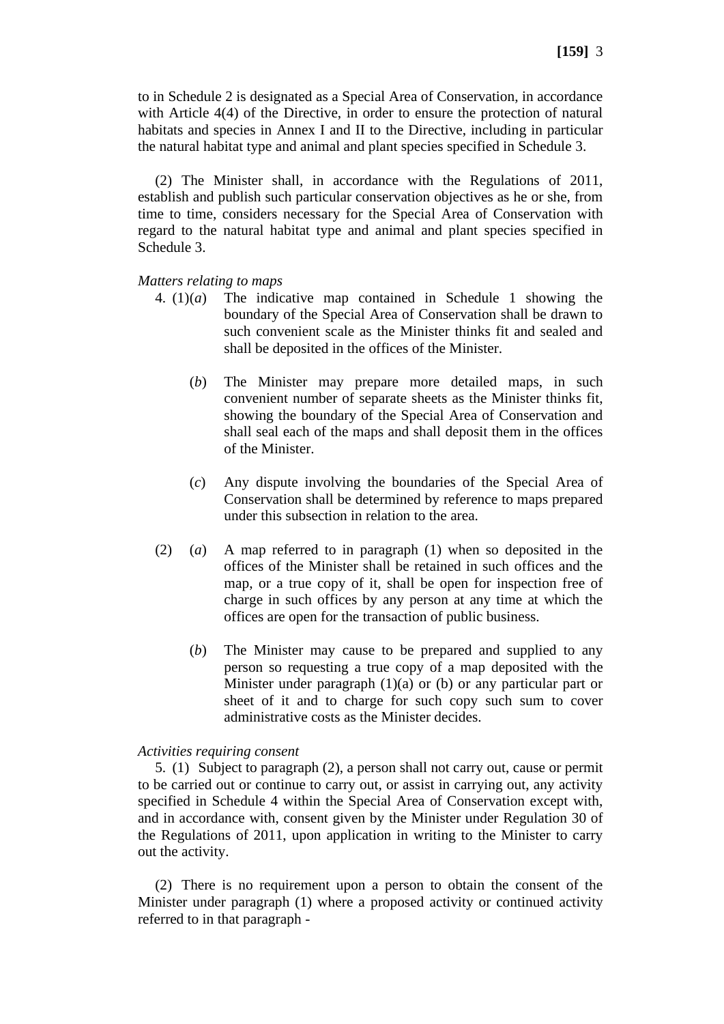to in Schedule 2 is designated as a Special Area of Conservation, in accordance with Article 4(4) of the Directive, in order to ensure the protection of natural habitats and species in Annex I and II to the Directive, including in particular the natural habitat type and animal and plant species specified in Schedule 3.

(2) The Minister shall, in accordance with the Regulations of 2011, establish and publish such particular conservation objectives as he or she, from time to time, considers necessary for the Special Area of Conservation with regard to the natural habitat type and animal and plant species specified in Schedule 3.

### *Matters relating to maps*

- 4. (1)(*a*) The indicative map contained in Schedule 1 showing the boundary of the Special Area of Conservation shall be drawn to such convenient scale as the Minister thinks fit and sealed and shall be deposited in the offices of the Minister.
	- (*b*) The Minister may prepare more detailed maps, in such convenient number of separate sheets as the Minister thinks fit, showing the boundary of the Special Area of Conservation and shall seal each of the maps and shall deposit them in the offices of the Minister.
	- (*c*) Any dispute involving the boundaries of the Special Area of Conservation shall be determined by reference to maps prepared under this subsection in relation to the area.
- (2) (*a*) A map referred to in paragraph (1) when so deposited in the offices of the Minister shall be retained in such offices and the map, or a true copy of it, shall be open for inspection free of charge in such offices by any person at any time at which the offices are open for the transaction of public business.
	- (*b*) The Minister may cause to be prepared and supplied to any person so requesting a true copy of a map deposited with the Minister under paragraph  $(1)(a)$  or  $(b)$  or any particular part or sheet of it and to charge for such copy such sum to cover administrative costs as the Minister decides.

### *Activities requiring consent*

5. (1) Subject to paragraph (2), a person shall not carry out, cause or permit to be carried out or continue to carry out, or assist in carrying out, any activity specified in Schedule 4 within the Special Area of Conservation except with, and in accordance with, consent given by the Minister under Regulation 30 of the Regulations of 2011, upon application in writing to the Minister to carry out the activity.

(2) There is no requirement upon a person to obtain the consent of the Minister under paragraph (1) where a proposed activity or continued activity referred to in that paragraph -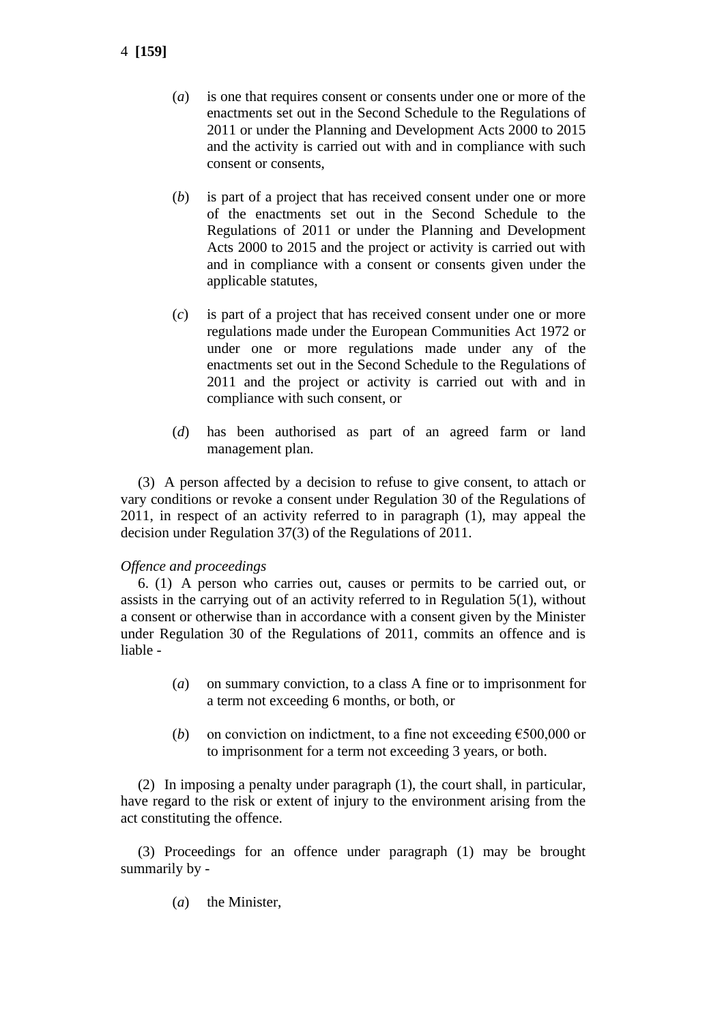- 4 **[159]**
- (*a*) is one that requires consent or consents under one or more of the enactments set out in the Second Schedule to the Regulations of 2011 or under the Planning and Development Acts 2000 to 2015 and the activity is carried out with and in compliance with such consent or consents,
- (*b*) is part of a project that has received consent under one or more of the enactments set out in the Second Schedule to the Regulations of 2011 or under the Planning and Development Acts 2000 to 2015 and the project or activity is carried out with and in compliance with a consent or consents given under the applicable statutes,
- (*c*) is part of a project that has received consent under one or more regulations made under the European Communities Act 1972 or under one or more regulations made under any of the enactments set out in the Second Schedule to the Regulations of 2011 and the project or activity is carried out with and in compliance with such consent, or
- (*d*) has been authorised as part of an agreed farm or land management plan.

(3) A person affected by a decision to refuse to give consent, to attach or vary conditions or revoke a consent under Regulation 30 of the Regulations of 2011, in respect of an activity referred to in paragraph (1), may appeal the decision under Regulation 37(3) of the Regulations of 2011.

## *Offence and proceedings*

6. (1) A person who carries out, causes or permits to be carried out, or assists in the carrying out of an activity referred to in Regulation 5(1), without a consent or otherwise than in accordance with a consent given by the Minister under Regulation 30 of the Regulations of 2011, commits an offence and is liable -

- (*a*) on summary conviction, to a class A fine or to imprisonment for a term not exceeding 6 months, or both, or
- (*b*) on conviction on indictment, to a fine not exceeding  $\epsilon$ 500,000 or to imprisonment for a term not exceeding 3 years, or both.

(2) In imposing a penalty under paragraph (1), the court shall, in particular, have regard to the risk or extent of injury to the environment arising from the act constituting the offence.

(3) Proceedings for an offence under paragraph (1) may be brought summarily by -

(*a*) the Minister,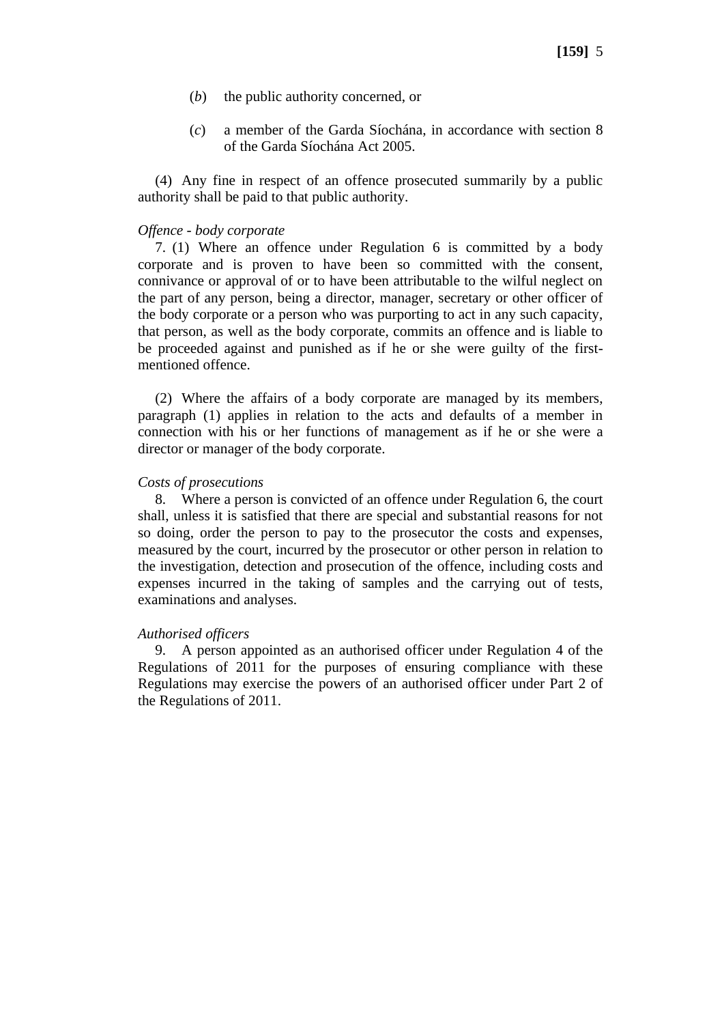- (*b*) the public authority concerned, or
- (*c*) a member of the Garda Síochána, in accordance with section 8 of the Garda Síochána Act 2005.

(4) Any fine in respect of an offence prosecuted summarily by a public authority shall be paid to that public authority.

### *Offence - body corporate*

7. (1) Where an offence under Regulation 6 is committed by a body corporate and is proven to have been so committed with the consent, connivance or approval of or to have been attributable to the wilful neglect on the part of any person, being a director, manager, secretary or other officer of the body corporate or a person who was purporting to act in any such capacity, that person, as well as the body corporate, commits an offence and is liable to be proceeded against and punished as if he or she were guilty of the firstmentioned offence.

(2) Where the affairs of a body corporate are managed by its members, paragraph (1) applies in relation to the acts and defaults of a member in connection with his or her functions of management as if he or she were a director or manager of the body corporate.

### *Costs of prosecutions*

8. Where a person is convicted of an offence under Regulation 6, the court shall, unless it is satisfied that there are special and substantial reasons for not so doing, order the person to pay to the prosecutor the costs and expenses, measured by the court, incurred by the prosecutor or other person in relation to the investigation, detection and prosecution of the offence, including costs and expenses incurred in the taking of samples and the carrying out of tests, examinations and analyses.

### *Authorised officers*

9. A person appointed as an authorised officer under Regulation 4 of the Regulations of 2011 for the purposes of ensuring compliance with these Regulations may exercise the powers of an authorised officer under Part 2 of the Regulations of 2011.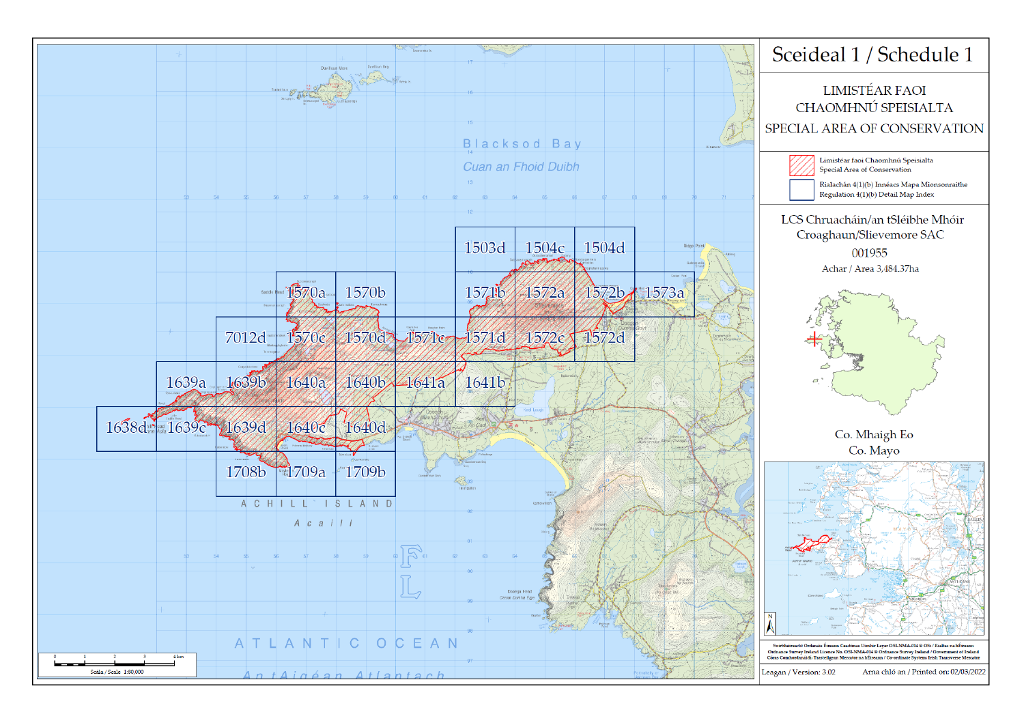



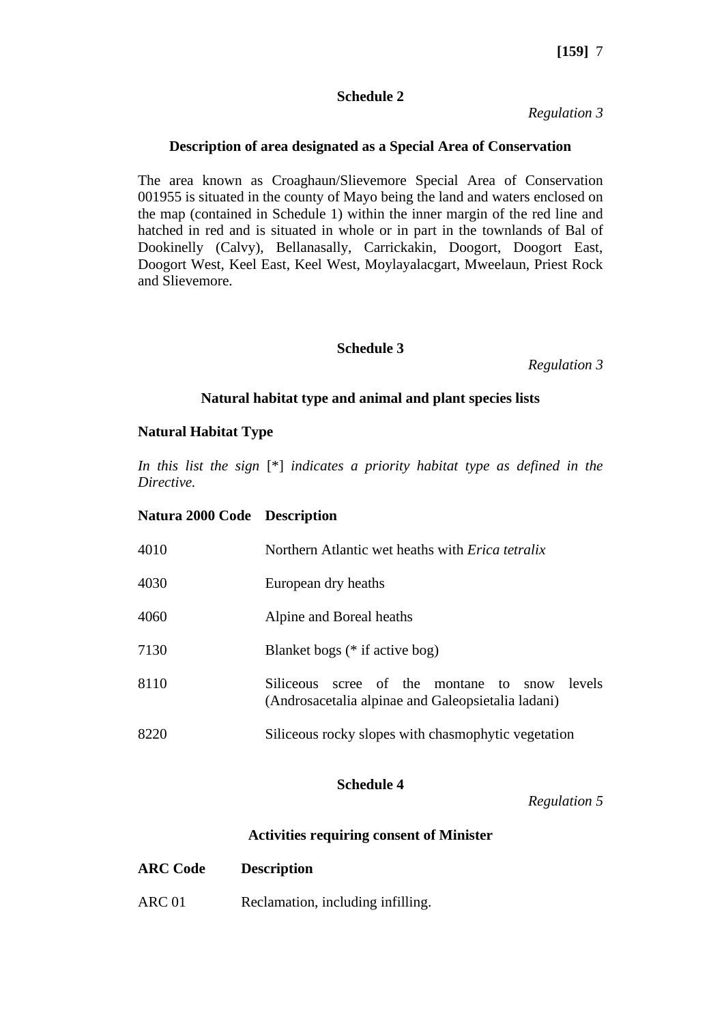## **Schedule 2**

*Regulation 3*

## **Description of area designated as a Special Area of Conservation**

The area known as Croaghaun/Slievemore Special Area of Conservation 001955 is situated in the county of Mayo being the land and waters enclosed on the map (contained in Schedule 1) within the inner margin of the red line and hatched in red and is situated in whole or in part in the townlands of Bal of Dookinelly (Calvy), Bellanasally, Carrickakin, Doogort, Doogort East, Doogort West, Keel East, Keel West, Moylayalacgart, Mweelaun, Priest Rock and Slievemore.

## **Schedule 3**

*Regulation 3*

### **Natural habitat type and animal and plant species lists**

## **Natural Habitat Type**

*In this list the sign* [\*] *indicates a priority habitat type as defined in the Directive.*

### **Natura 2000 Code Description**

| 4010 | Northern Atlantic wet heaths with <i>Erica tetralix</i>                                                   |
|------|-----------------------------------------------------------------------------------------------------------|
| 4030 | European dry heaths                                                                                       |
| 4060 | Alpine and Boreal heaths                                                                                  |
| 7130 | Blanket bogs (* if active bog)                                                                            |
| 8110 | Siliceous scree of the montane to<br>levels<br>snow<br>(Androsacetalia alpinae and Galeopsietalia ladani) |
| 8220 | Siliceous rocky slopes with chasmophytic vegetation                                                       |

# **Schedule 4**

*Regulation 5*

# **Activities requiring consent of Minister**

| <b>ARC Code</b> | <b>Description</b> |  |
|-----------------|--------------------|--|
|                 |                    |  |

ARC 01 Reclamation, including infilling.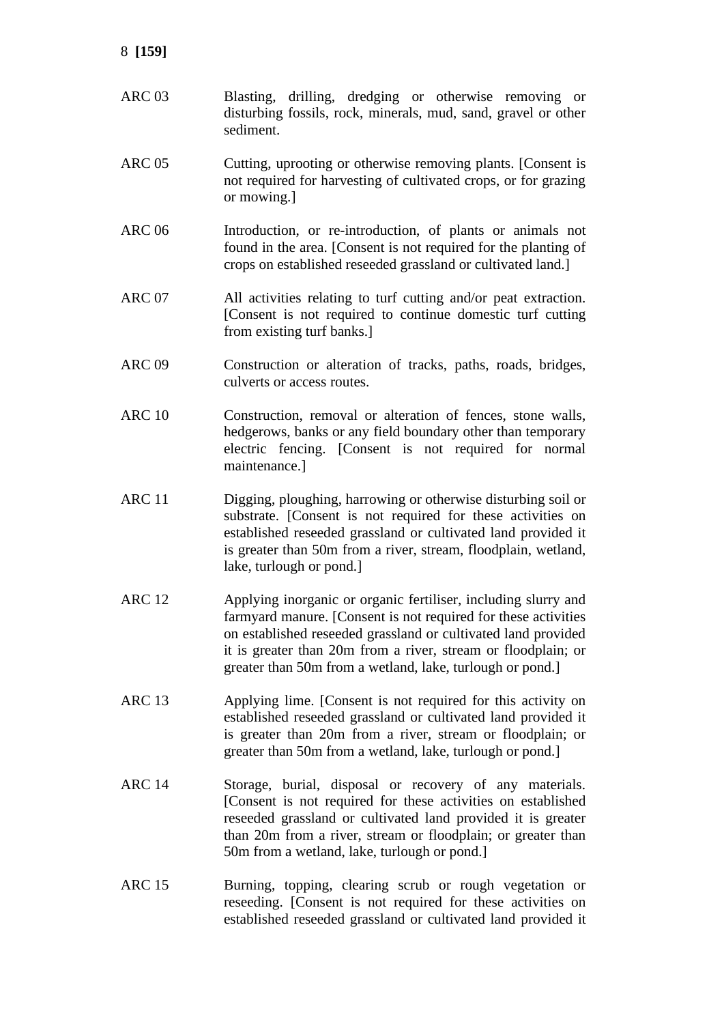- ARC 03 Blasting, drilling, dredging or otherwise removing or disturbing fossils, rock, minerals, mud, sand, gravel or other sediment.
- ARC 05 Cutting, uprooting or otherwise removing plants. [Consent is not required for harvesting of cultivated crops, or for grazing or mowing.]
- ARC 06 Introduction, or re-introduction, of plants or animals not found in the area. [Consent is not required for the planting of crops on established reseeded grassland or cultivated land.]
- ARC 07 All activities relating to turf cutting and/or peat extraction. [Consent is not required to continue domestic turf cutting from existing turf banks.]
- ARC 09 Construction or alteration of tracks, paths, roads, bridges, culverts or access routes.
- ARC 10 Construction, removal or alteration of fences, stone walls, hedgerows, banks or any field boundary other than temporary electric fencing. [Consent is not required for normal maintenance.]
- ARC 11 Digging, ploughing, harrowing or otherwise disturbing soil or substrate. [Consent is not required for these activities on established reseeded grassland or cultivated land provided it is greater than 50m from a river, stream, floodplain, wetland, lake, turlough or pond.]
- ARC 12 Applying inorganic or organic fertiliser, including slurry and farmyard manure. [Consent is not required for these activities on established reseeded grassland or cultivated land provided it is greater than 20m from a river, stream or floodplain; or greater than 50m from a wetland, lake, turlough or pond.]
- ARC 13 Applying lime. [Consent is not required for this activity on established reseeded grassland or cultivated land provided it is greater than 20m from a river, stream or floodplain; or greater than 50m from a wetland, lake, turlough or pond.]
- ARC 14 Storage, burial, disposal or recovery of any materials. [Consent is not required for these activities on established reseeded grassland or cultivated land provided it is greater than 20m from a river, stream or floodplain; or greater than 50m from a wetland, lake, turlough or pond.]
- ARC 15 Burning, topping, clearing scrub or rough vegetation or reseeding. [Consent is not required for these activities on established reseeded grassland or cultivated land provided it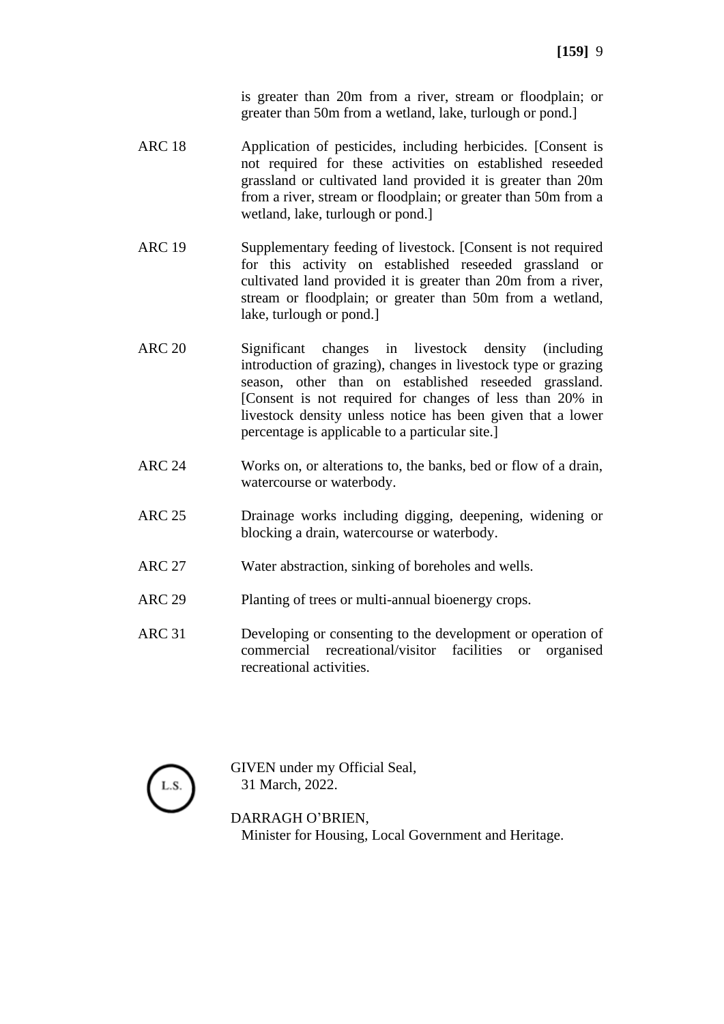is greater than 20m from a river, stream or floodplain; or greater than 50m from a wetland, lake, turlough or pond.]

- ARC 18 Application of pesticides, including herbicides. [Consent is not required for these activities on established reseeded grassland or cultivated land provided it is greater than 20m from a river, stream or floodplain; or greater than 50m from a wetland, lake, turlough or pond.]
- ARC 19 Supplementary feeding of livestock. [Consent is not required for this activity on established reseeded grassland or cultivated land provided it is greater than 20m from a river, stream or floodplain; or greater than 50m from a wetland, lake, turlough or pond.]
- ARC 20 Significant changes in livestock density (including introduction of grazing), changes in livestock type or grazing season, other than on established reseeded grassland. [Consent is not required for changes of less than 20% in livestock density unless notice has been given that a lower percentage is applicable to a particular site.]
- ARC 24 Works on, or alterations to, the banks, bed or flow of a drain, watercourse or waterbody.
- ARC 25 Drainage works including digging, deepening, widening or blocking a drain, watercourse or waterbody.
- ARC 27 Water abstraction, sinking of boreholes and wells.
- ARC 29 Planting of trees or multi-annual bioenergy crops.
- ARC 31 Developing or consenting to the development or operation of commercial recreational/visitor facilities or organised recreational activities.



GIVEN under my Official Seal, 31 March, 2022.

DARRAGH O'BRIEN, Minister for Housing, Local Government and Heritage.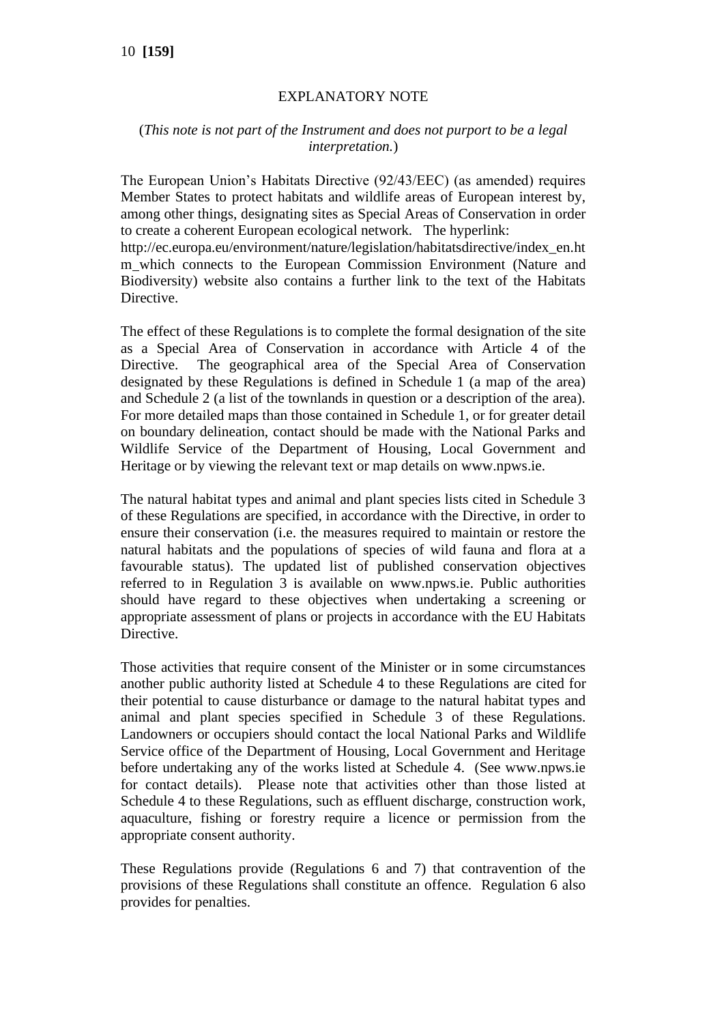# EXPLANATORY NOTE

## (*This note is not part of the Instrument and does not purport to be a legal interpretation.*)

The European Union's Habitats Directive (92/43/EEC) (as amended) requires Member States to protect habitats and wildlife areas of European interest by, among other things, designating sites as Special Areas of Conservation in order to create a coherent European ecological network. The hyperlink:

http://ec.europa.eu/environment/nature/legislation/habitatsdirective/index\_en.ht m which connects to the European Commission Environment (Nature and Biodiversity) website also contains a further link to the text of the Habitats Directive.

The effect of these Regulations is to complete the formal designation of the site as a Special Area of Conservation in accordance with Article 4 of the Directive. The geographical area of the Special Area of Conservation designated by these Regulations is defined in Schedule 1 (a map of the area) and Schedule 2 (a list of the townlands in question or a description of the area). For more detailed maps than those contained in Schedule 1, or for greater detail on boundary delineation, contact should be made with the National Parks and Wildlife Service of the Department of Housing, Local Government and Heritage or by viewing the relevant text or map details on www.npws.ie.

The natural habitat types and animal and plant species lists cited in Schedule 3 of these Regulations are specified, in accordance with the Directive, in order to ensure their conservation (i.e. the measures required to maintain or restore the natural habitats and the populations of species of wild fauna and flora at a favourable status). The updated list of published conservation objectives referred to in Regulation 3 is available on www.npws.ie. Public authorities should have regard to these objectives when undertaking a screening or appropriate assessment of plans or projects in accordance with the EU Habitats Directive.

Those activities that require consent of the Minister or in some circumstances another public authority listed at Schedule 4 to these Regulations are cited for their potential to cause disturbance or damage to the natural habitat types and animal and plant species specified in Schedule 3 of these Regulations. Landowners or occupiers should contact the local National Parks and Wildlife Service office of the Department of Housing, Local Government and Heritage before undertaking any of the works listed at Schedule 4. (See www.npws.ie for contact details). Please note that activities other than those listed at Schedule 4 to these Regulations, such as effluent discharge, construction work, aquaculture, fishing or forestry require a licence or permission from the appropriate consent authority.

These Regulations provide (Regulations 6 and 7) that contravention of the provisions of these Regulations shall constitute an offence. Regulation 6 also provides for penalties.